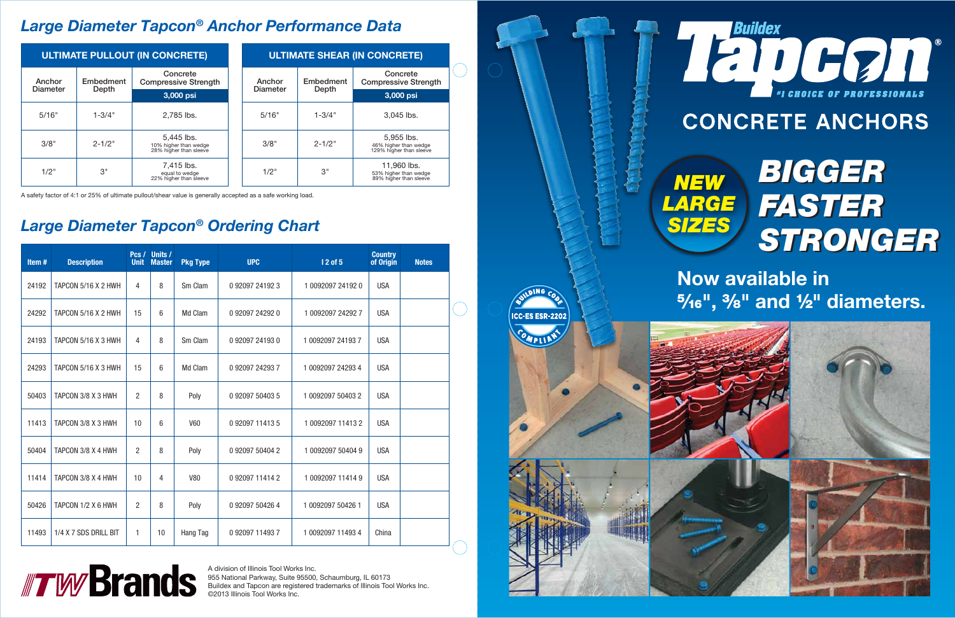A division of Illinois Tool Works Inc. 955 National Parkway, Suite 95500, Schaumburg, IL 60173 Buildex and Tapcon are registered trademarks of Illinois Tool Works Inc. ©2013 Illinois Tool Works Inc.

## *Large Diameter Tapcon® Anchor Performance Data*

## *Large Diameter Tapcon® Ordering Chart*

A safety factor of 4:1 or 25% of ultimate pullout/shear value is generally accepted as a safe working load.

| <b>ULTIMATE PULLOUT (IN CONCRETE)</b> |                    |                                                               |                           | <b>ULTIMATE SHEAR (IN CONCRETE)</b> |            |                                                                |           |                                         |  |
|---------------------------------------|--------------------|---------------------------------------------------------------|---------------------------|-------------------------------------|------------|----------------------------------------------------------------|-----------|-----------------------------------------|--|
| Anchor<br>Diameter                    | Embedment<br>Depth | Concrete<br><b>Compressive Strength</b>                       | Anchor<br><b>Diameter</b> |                                     |            |                                                                | Embedment | Concrete<br><b>Compressive Strength</b> |  |
|                                       |                    | 3,000 psi                                                     |                           |                                     | Depth      | 3,000 psi                                                      |           |                                         |  |
| 5/16"                                 | $1 - 3/4"$         | 2,785 lbs.                                                    |                           | 5/16"                               | $1 - 3/4"$ | $3.045$ lbs.                                                   |           |                                         |  |
| 3/8"                                  | $2 - 1/2"$         | 5,445 lbs.<br>10% higher than wedge<br>28% higher than sleeve |                           | 3/8"                                | $2 - 1/2"$ | 5.955 lbs.<br>46% higher than wedge<br>129% higher than sleeve |           |                                         |  |
| 1/2"                                  | 3"                 | 7,415 lbs.<br>equal to wedge<br>22% higher than sleeve        |                           | 1/2"                                | 3"         | 11.960 lbs.<br>53% higher than wedge<br>89% higher than sleeve |           |                                         |  |



| Item# | <b>Description</b>    | <b>Unit</b>    | Pcs / Units /<br><b>Master</b> | <b>Pkg Type</b> | <b>UPC</b>      | <b>12 of 5</b>    | <b>Country</b><br>of Origin | <b>Notes</b> |  |
|-------|-----------------------|----------------|--------------------------------|-----------------|-----------------|-------------------|-----------------------------|--------------|--|
| 24192 | TAPCON 5/16 X 2 HWH   | 4              | 8                              | Sm Clam         | 092097241923    | 1 0092097 24192 0 | <b>USA</b>                  |              |  |
| 24292 | TAPCON 5/16 X 2 HWH   | 15             | 6                              | Md Clam         | 092097242920    | 1 0092097 24292 7 | <b>USA</b>                  |              |  |
| 24193 | TAPCON 5/16 X 3 HWH   | 4              | 8                              | Sm Clam         | 092097241930    | 1 0092097 24193 7 | <b>USA</b>                  |              |  |
| 24293 | TAPCON 5/16 X 3 HWH   | 15             | 6                              | Md Clam         | 0 92097 24293 7 | 1 0092097 24293 4 | <b>USA</b>                  |              |  |
| 50403 | TAPCON 3/8 X 3 HWH    | $\overline{2}$ | 8                              | Poly            | 0 92097 50403 5 | 1 0092097 50403 2 | <b>USA</b>                  |              |  |
| 11413 | TAPCON 3/8 X 3 HWH    | 10             | 6                              | <b>V60</b>      | 092097114135    | 1 0092097 11413 2 | <b>USA</b>                  |              |  |
| 50404 | TAPCON 3/8 X 4 HWH    | $\overline{2}$ | 8                              | Poly            | 0 92097 50404 2 | 1 0092097 50404 9 | <b>USA</b>                  |              |  |
| 11414 | TAPCON 3/8 X 4 HWH    | 10             | 4                              | <b>V80</b>      | 0 92097 11414 2 | 1 0092097 11414 9 | <b>USA</b>                  |              |  |
| 50426 | TAPCON 1/2 X 6 HWH    | $\overline{2}$ | 8                              | Poly            | 0 92097 50426 4 | 1 0092097 50426 1 | <b>USA</b>                  |              |  |
| 11493 | 1/4 X 7 SDS DRILL BIT | 1              | 10                             | Hang Tag        | 0 92097 11493 7 | 1 0092097 11493 4 | China                       |              |  |